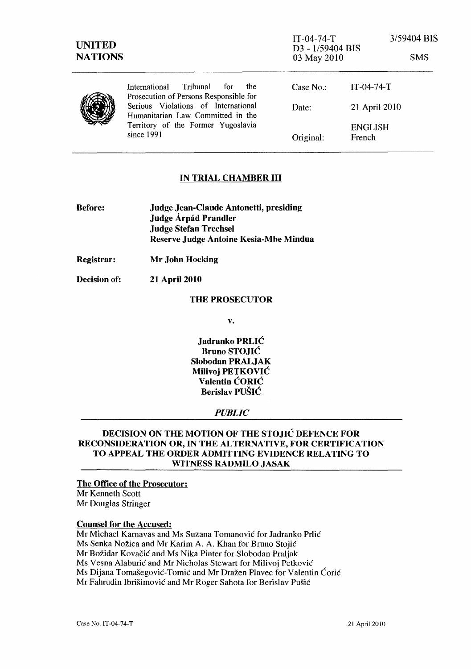| <b>UNITED</b><br><b>NATIONS</b> |                                                                                                                                | $IT-04-74-T$<br>D3 - 1/59404 BIS<br>03 May 2010 | 3/59404 BIS              | <b>SMS</b> |
|---------------------------------|--------------------------------------------------------------------------------------------------------------------------------|-------------------------------------------------|--------------------------|------------|
|                                 | Tribunal<br>International<br>for<br><sub>the</sub><br>Prosecution of Persons Responsible for                                   | Case $No.$ :                                    | $IT-04-74-T$             |            |
|                                 | Serious Violations of International<br>Humanitarian Law Committed in the<br>Territory of the Former Yugoslavia<br>since $1991$ | Date:                                           | 21 April 2010            |            |
|                                 |                                                                                                                                | Original:                                       | <b>ENGLISH</b><br>French |            |

# IN TRIAL CHAMBER **III**

| <b>Before:</b> | Judge Jean-Claude Antonetti, presiding |  |
|----------------|----------------------------------------|--|
|                | Judge Árpád Prandler                   |  |
|                | <b>Judge Stefan Trechsel</b>           |  |
|                | Reserve Judge Antoine Kesia-Mbe Mindua |  |

Registrar: Mr John Hocking

Decision of: 21 April 2010

#### THE PROSECUTOR

v.

Jadranko PRLIĆ Bruno STOJIĆ Slobodan PRALJAK Milivoj PETKOVIĆ Valentin ĆORIĆ Berislav PUŠIĆ

# *PUBLIC*

# DECISION ON THE MOTION OF THE STOJIĆ DEFENCE FOR RECONSIDERATION OR, IN THE ALTERNATIVE, FOR CERTIFICATION TO APPEAL THE ORDER ADMITTING EVIDENCE RELATING TO WITNESS RADMILO JASAK

### The Office of the Prosecutor:

Mr Kenneth Scott Mr Douglas Stringer

# Counsel for the Accused:

Mr Michael Karnavas and Ms Suzana Tomanović for Jadranko Prlić Ms Senka Nožica and Mr Karim A. A. Khan for Bruno Stojić Mr Božidar Kovačić and Ms Nika Pinter for Slobodan Praljak Ms Vesna Alaburić and Mr Nicholas Stewart for Milivoj Petković Ms Dijana Tomašegović-Tomić and Mr Dražen Plavec for Valentin Ćorić Mr Fahrudin Ibrišimović and Mr Roger Sahota for Berislav Pušić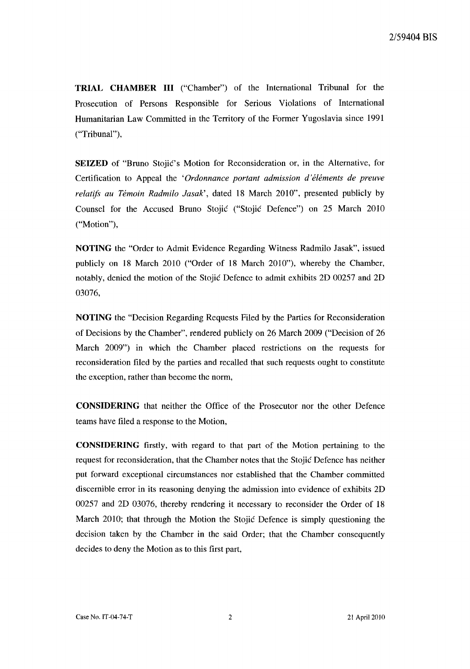**TRIAL CHAMBER III** ("Chamber") of the International Tribunal for the Prosecution of Persons Responsible for Serious Violations of International Humanitarian Law Committed in the Territory of the Former Yugoslavia since 1991 ("Tribunal"),

**SEIZED** of "Bruno Stojić's Motion for Reconsideration or, in the Alternative, for Certification to Appeal the *'Ordonnanee portant admission d'elements de preuve relatijs au Temoin Radmilo Jasak',* dated 18 March 2010", presented publicly by Counsel for the Accused Bruno Stojić ("Stojić Defence") on 25 March 2010 ("Motion"),

**NOTING** the "Order to Admit Evidence Regarding Witness Radmilo Jasak", issued publicly on 18 March 2010 ("Order of 18 March 2010"), whereby the Chamber, notably, denied the motion of the Stojić Defence to admit exhibits 2D 00257 and 2D 03076,

**NOTING** the "Decision Regarding Requests Filed by the Parties for Reconsideration of Decisions by the Chamber", rendered publicly on 26 March 2009 ("Decision of 26 March 2009") in which the Chamber placed restrictions on the requests for reconsideration filed by the parties and recalied that such requests ought to constitute the exception, rather than become the norm,

**CONSIDERING** that neither the Office of the Prosecutor nor the other Defence teams have filed a response to the Motion,

**CONSIDERING** firstly, with regard to that part of the Motion pertaining to the request for reconsideration, that the Chamber notes that the Stojić Defence has neither put forward exceptional circumstances nor established that the Chamber committed discernible error in its reasoning denying the admission into evidence of exhibits 2D 00257 and 2D 03076, thereby rendering it necessary to reconsider the Order of 18 March 2010; that through the Motion the Stojić Defence is simply questioning the decision taken by the Chamber in the said Order; that the Chamber consequently decides to deny the Motion as to this first part,